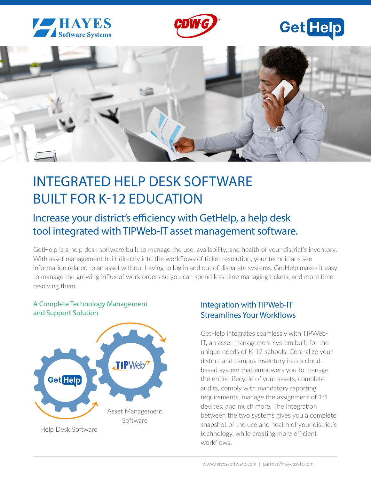



# **Get**Help



## INTEGRATED HELP DESK SOFTWARE BUILT FOR K-12 EDUCATION

### Increase your district's efficiency with GetHelp, a help desk tool integrated with TIPWeb-IT asset management software.

GetHelp is a help desk software built to manage the use, availability, and health of your district's inventory. With asset management built directly into the workflows of ticket resolution, your technicians see information related to an asset without having to log in and out of disparate systems. GetHelp makes it easy to manage the growing influx of work orders so you can spend less time managing tickets, and more time resolving them.

#### A Complete Technology Management and Support Solution



#### Integration with TIPWeb-IT Streamlines Your Workflows

GetHelp integrates seamlessly with TIPWeb-IT, an asset management system built for the unique needs of K-12 schools. Centralize your district and campus inventory into a cloudbased system that empowers you to manage the entire lifecycle of your assets, complete audits, comply with mandatory reporting requirements, manage the assignment of 1:1 devices, and much more. The integration between the two systems gives you a complete snapshot of the use and health of your district's technology, while creating more efficient workflows.